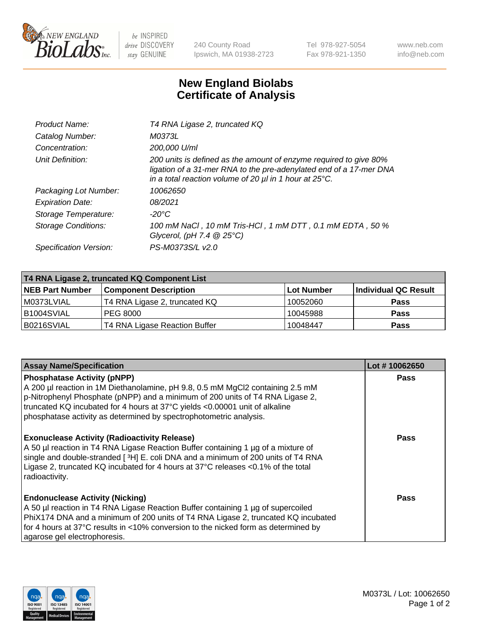

 $be$  INSPIRED drive DISCOVERY stay GENUINE

240 County Road Ipswich, MA 01938-2723 Tel 978-927-5054 Fax 978-921-1350 www.neb.com info@neb.com

## **New England Biolabs Certificate of Analysis**

| Product Name:              | T4 RNA Ligase 2, truncated KQ                                                                                                                                                                                    |
|----------------------------|------------------------------------------------------------------------------------------------------------------------------------------------------------------------------------------------------------------|
| Catalog Number:            | M0373L                                                                                                                                                                                                           |
| Concentration:             | 200,000 U/ml                                                                                                                                                                                                     |
| Unit Definition:           | 200 units is defined as the amount of enzyme required to give 80%<br>ligation of a 31-mer RNA to the pre-adenylated end of a 17-mer DNA<br>in a total reaction volume of 20 $\mu$ l in 1 hour at 25 $\degree$ C. |
| Packaging Lot Number:      | 10062650                                                                                                                                                                                                         |
| <b>Expiration Date:</b>    | 08/2021                                                                                                                                                                                                          |
| Storage Temperature:       | -20°C                                                                                                                                                                                                            |
| <b>Storage Conditions:</b> | 100 mM NaCl, 10 mM Tris-HCl, 1 mM DTT, 0.1 mM EDTA, 50 %<br>Glycerol, (pH 7.4 $@25°C$ )                                                                                                                          |
| Specification Version:     | PS-M0373S/L v2.0                                                                                                                                                                                                 |

| T4 RNA Ligase 2, truncated KQ Component List |                               |                   |                      |  |  |
|----------------------------------------------|-------------------------------|-------------------|----------------------|--|--|
| <b>NEB Part Number</b>                       | <b>Component Description</b>  | <b>Lot Number</b> | Individual QC Result |  |  |
| l M0373LVIAL                                 | T4 RNA Ligase 2, truncated KQ | 10052060          | <b>Pass</b>          |  |  |
| B1004SVIAL                                   | <b>PEG 8000</b>               | 10045988          | <b>Pass</b>          |  |  |
| B0216SVIAL                                   | T4 RNA Ligase Reaction Buffer | 10048447          | <b>Pass</b>          |  |  |

| <b>Assay Name/Specification</b>                                                                                                                                                                                                                                                                                                                            | Lot #10062650 |
|------------------------------------------------------------------------------------------------------------------------------------------------------------------------------------------------------------------------------------------------------------------------------------------------------------------------------------------------------------|---------------|
| <b>Phosphatase Activity (pNPP)</b><br>A 200 µl reaction in 1M Diethanolamine, pH 9.8, 0.5 mM MgCl2 containing 2.5 mM<br>p-Nitrophenyl Phosphate (pNPP) and a minimum of 200 units of T4 RNA Ligase 2,<br>truncated KQ incubated for 4 hours at 37°C yields <0.00001 unit of alkaline<br>phosphatase activity as determined by spectrophotometric analysis. | Pass          |
| <b>Exonuclease Activity (Radioactivity Release)</b><br>A 50 µl reaction in T4 RNA Ligase Reaction Buffer containing 1 µg of a mixture of<br>single and double-stranded [3H] E. coli DNA and a minimum of 200 units of T4 RNA<br>Ligase 2, truncated KQ incubated for 4 hours at 37°C releases <0.1% of the total<br>radioactivity.                         | Pass          |
| <b>Endonuclease Activity (Nicking)</b><br>A 50 µl reaction in T4 RNA Ligase Reaction Buffer containing 1 µg of supercoiled<br>PhiX174 DNA and a minimum of 200 units of T4 RNA Ligase 2, truncated KQ incubated<br>for 4 hours at 37°C results in <10% conversion to the nicked form as determined by<br>agarose gel electrophoresis.                      | <b>Pass</b>   |